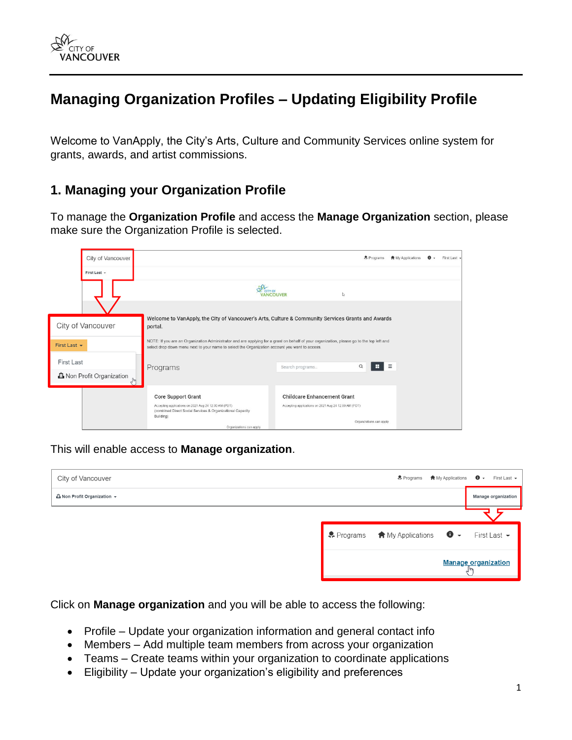

# **Managing Organization Profiles – Updating Eligibility Profile**

Welcome to VanApply, the City's Arts, Culture and Community Services online system for grants, awards, and artist commissions.

#### **1. Managing your Organization Profile**

To manage the **Organization Profile** and access the **Manage Organization** section, please make sure the Organization Profile is selected.

|              | City of Vancouver                |                                                                                                                                                                                                                                             |                                                      | Programs                 | <b>會</b> My Applications |  | First Last - |
|--------------|----------------------------------|---------------------------------------------------------------------------------------------------------------------------------------------------------------------------------------------------------------------------------------------|------------------------------------------------------|--------------------------|--------------------------|--|--------------|
|              | First Last +                     |                                                                                                                                                                                                                                             |                                                      |                          |                          |  |              |
|              |                                  | CITY OF                                                                                                                                                                                                                                     | <b>ANCOUVER</b>                                      | I.                       |                          |  |              |
|              |                                  |                                                                                                                                                                                                                                             |                                                      |                          |                          |  |              |
|              | City of Vancouver                | Welcome to VanApply, the City of Vancouver's Arts, Culture & Community Services Grants and Awards<br>portal.                                                                                                                                |                                                      |                          |                          |  |              |
| First Last + |                                  | NOTE: If you are an Organization Administrator and are applying for a grant on behalf of your organization, please go to the top left and<br>select drop down menu next to your name to select the Organization account you want to access. |                                                      |                          |                          |  |              |
| First Last   |                                  | Programs                                                                                                                                                                                                                                    | Search programs                                      | н<br>$\alpha$            | $\equiv$                 |  |              |
|              | <b>心</b> Non Profit Organization |                                                                                                                                                                                                                                             |                                                      |                          |                          |  |              |
|              |                                  | <b>Core Support Grant</b>                                                                                                                                                                                                                   | <b>Childcare Enhancement Grant</b>                   |                          |                          |  |              |
|              |                                  | Accepting applications on 2021 Aug 24 12:00 AM (PDT)<br>(combined Direct Social Services & Organizational Capacity<br>Building)                                                                                                             | Accepting applications on 2021 Aug 24 12:00 AM (PDT) |                          |                          |  |              |
|              |                                  | Organizations can apply.                                                                                                                                                                                                                    |                                                      | Organizations can apply. |                          |  |              |

This will enable access to **Manage organization**.

| City of Vancouver                         | $\clubsuit$ Programs $\spadesuit$ My Applications $\spadesuit$ $\rightarrow$ |                            | First Last $\sim$   |
|-------------------------------------------|------------------------------------------------------------------------------|----------------------------|---------------------|
| <b><i>L</i></b> Non Profit Organization ▼ |                                                                              |                            | Manage organization |
|                                           |                                                                              |                            |                     |
|                                           | • Programs ★ My Applications ● ▼ First Last ▼                                |                            |                     |
|                                           |                                                                              | <b>Manage organization</b> |                     |

Click on **Manage organization** and you will be able to access the following:

- Profile Update your organization information and general contact info
- Members Add multiple team members from across your organization
- Teams Create teams within your organization to coordinate applications
- Eligibility Update your organization's eligibility and preferences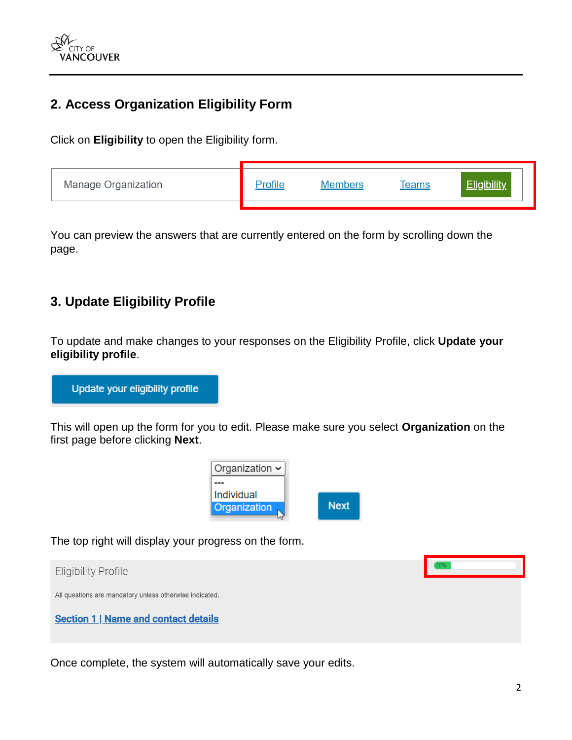

## **2. Access Organization Eligibility Form**

Click on **Eligibility** to open the Eligibility form.

| Manage Organization | ers<br>Mamh | reams |  |
|---------------------|-------------|-------|--|
|                     |             |       |  |

You can preview the answers that are currently entered on the form by scrolling down the page.

### **3. Update Eligibility Profile**

To update and make changes to your responses on the Eligibility Profile, click **Update your eligibility profile**.

Update your eligibility profile

This will open up the form for you to edit. Please make sure you select **Organization** on the first page before clicking **Next**.



The top right will display your progress on the form.



Once complete, the system will automatically save your edits.